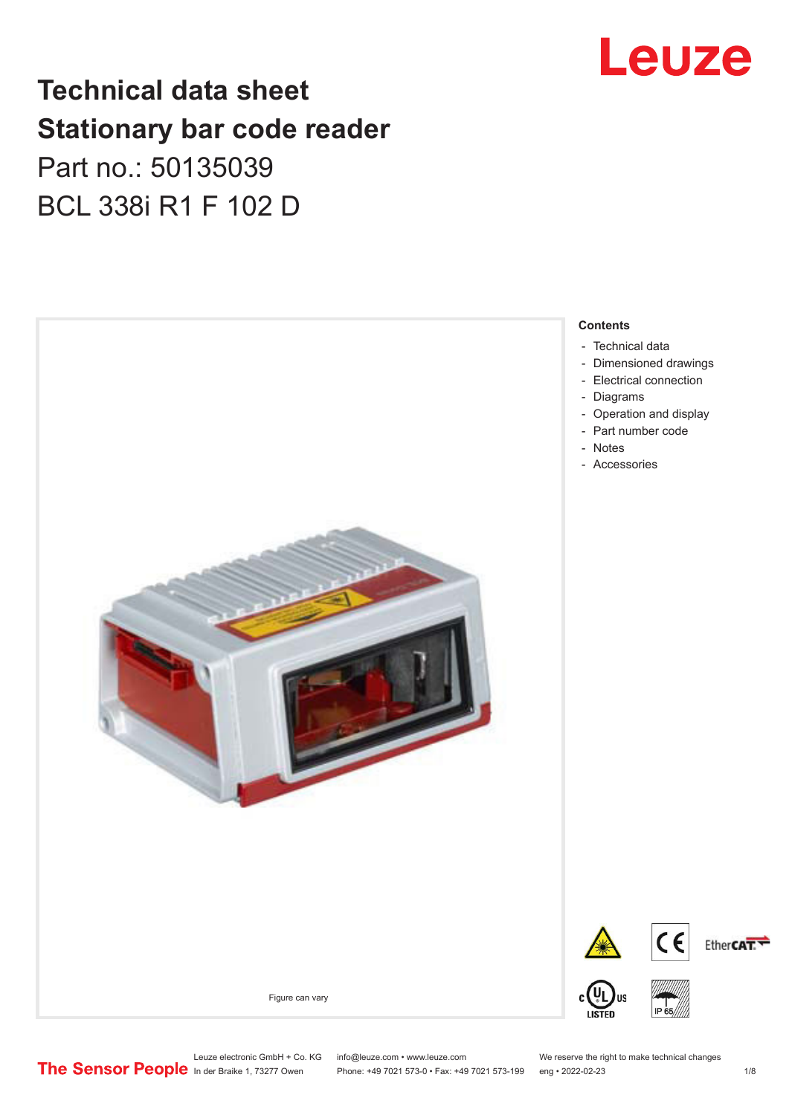## Leuze

### **Technical data sheet Stationary bar code reader** Part no.: 50135039 BCL 338i R1 F 102 D



Leuze electronic GmbH + Co. KG info@leuze.com • www.leuze.com We reserve the right to make technical changes<br>
The Sensor People in der Braike 1, 73277 Owen Phone: +49 7021 573-0 • Fax: +49 7021 573-199 eng • 2022-02-23 Phone: +49 7021 573-0 • Fax: +49 7021 573-199 eng • 2022-02-23 1 /8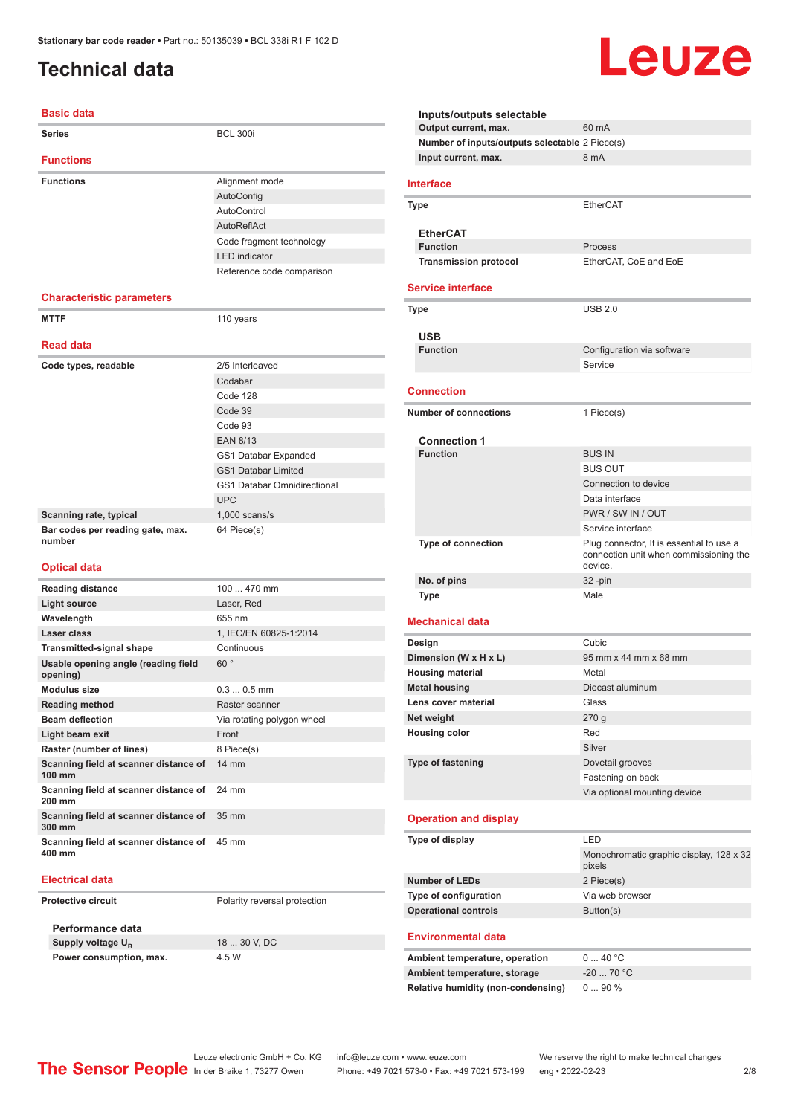### <span id="page-1-0"></span>**Technical data**

#### **Basic data**

| <b>Series</b>                                   | <b>BCL 300i</b>                    |
|-------------------------------------------------|------------------------------------|
| <b>Functions</b>                                |                                    |
| <b>Functions</b>                                | Alignment mode                     |
|                                                 | AutoConfig                         |
|                                                 | AutoControl                        |
|                                                 | AutoReflAct                        |
|                                                 | Code fragment technology           |
|                                                 | <b>LED</b> indicator               |
|                                                 | Reference code comparison          |
| <b>Characteristic parameters</b>                |                                    |
| <b>MTTF</b>                                     | 110 years                          |
| <b>Read data</b>                                |                                    |
| Code types, readable                            | 2/5 Interleaved                    |
|                                                 | Codabar                            |
|                                                 | Code 128                           |
|                                                 | Code 39                            |
|                                                 | Code 93                            |
|                                                 | <b>EAN 8/13</b>                    |
|                                                 | GS1 Databar Expanded               |
|                                                 | <b>GS1 Databar Limited</b>         |
|                                                 | <b>GS1 Databar Omnidirectional</b> |
|                                                 | <b>UPC</b>                         |
| Scanning rate, typical                          | $1,000$ scans/s                    |
| Bar codes per reading gate, max.<br>number      | 64 Piece(s)                        |
| <b>Optical data</b>                             |                                    |
| <b>Reading distance</b>                         | 100  470 mm                        |
| Light source                                    | Laser, Red                         |
| Wavelength                                      | 655 nm                             |
| Laser class                                     | 1, IEC/EN 60825-1:2014             |
| <b>Transmitted-signal shape</b>                 | Continuous                         |
| Usable opening angle (reading field<br>opening) | 60°                                |
| <b>Modulus size</b>                             | $0.30.5$ mm                        |
| Reading method                                  | Raster scanner                     |

| Modulus size                                          | $0.30.5$ mm                |
|-------------------------------------------------------|----------------------------|
| <b>Reading method</b>                                 | Raster scanner             |
| <b>Beam deflection</b>                                | Via rotating polygon wheel |
| Light beam exit                                       | Front                      |
| Raster (number of lines)                              | 8 Piece(s)                 |
| Scanning field at scanner distance of<br>100 mm       | $14 \text{ mm}$            |
| Scanning field at scanner distance of 24 mm<br>200 mm |                            |
| Scanning field at scanner distance of<br>300 mm       | 35 mm                      |
| Scanning field at scanner distance of 45 mm<br>400 mm |                            |

#### **Electrical data**

**Protective circuit** Polarity reversal protection

**Performance data Supply voltage U<sub>B</sub> Power consumption, max.** 4.5 W

18 30 V, DC

**Output current, max.** 60 mA **Number of inputs/outputs selectable** 2 Piece(s) **Input current, max.** 8 mA **Interface Type** EtherCAT **EtherCAT Function** Process **Transmission protocol** EtherCAT, CoE and EoE **Service interface Type** USB 2.0 **USB Configuration** via software Service **Connection Number of connections** 1 Piece(s) **Connection 1 Function** BUS IN BUS OUT Connection to device Data interface PWR / SW IN / OUT Service interface **Type of connection** Plug connector, It is essential to use a connection unit when commissioning the device. **No. of pins** 32 -pin **Type Male Mechanical data Design Cubic Dimension (W x H x L)** 95 mm x 44 mm x 68 mm **Housing material** Metal **Metal housing** Diecast aluminum **Lens cover material** Glass **Net weight** 270 g **Housing color** Red Silver **Type of fastening** Dovetail grooves Fastening on back Via optional mounting device **Operation and display Type of display** LED Monochromatic graphic display, 128 x 32 pixels **Number of LEDs** 2 Piece(s) **Type of configuration** Via web browser **Operational controls** Button(s) **Environmental data** Ambient temperature, operation 0 ... 40 °C **Ambient temperature, storage** -20 ... 70 °C **Relative humidity (non-condensing)** 0 ... 90 %

**Inputs/outputs selectable**

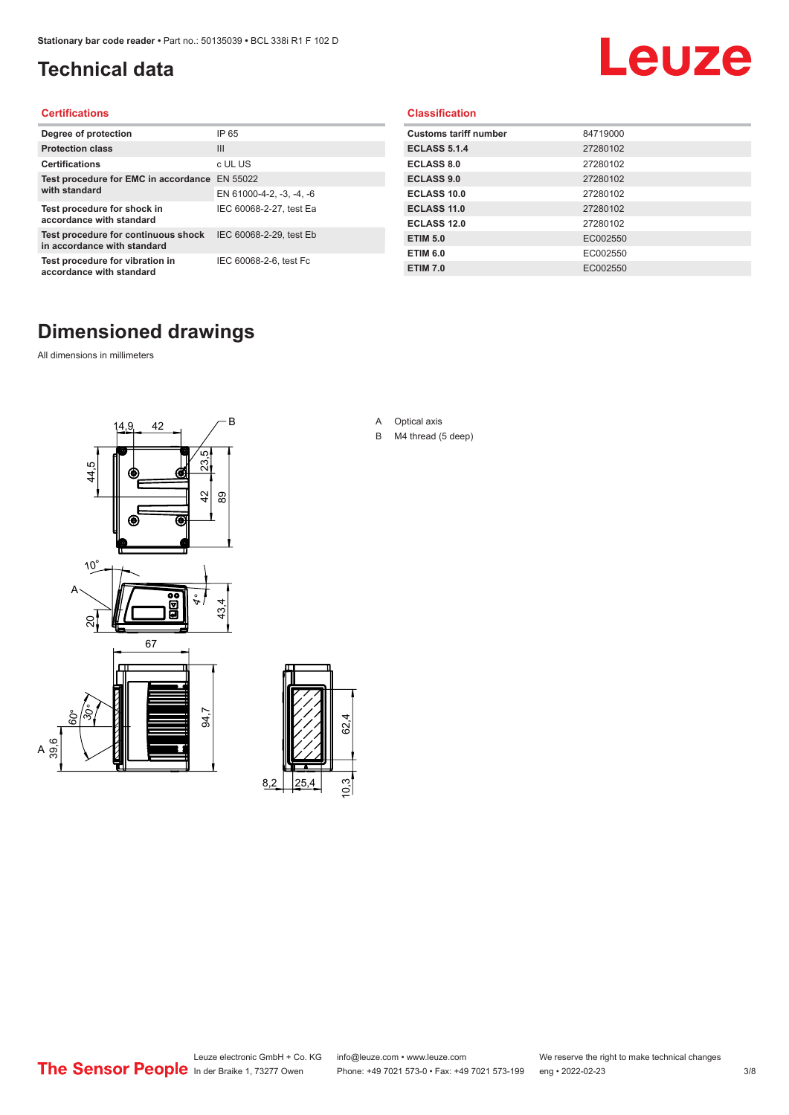### <span id="page-2-0"></span>**Technical data**

# Leuze

#### **Certifications**

| Degree of protection                                               | IP 65                    |
|--------------------------------------------------------------------|--------------------------|
| <b>Protection class</b>                                            | $\mathbf{III}$           |
| <b>Certifications</b>                                              | c UL US                  |
| Test procedure for EMC in accordance                               | EN 55022                 |
| with standard                                                      | EN 61000-4-2, -3, -4, -6 |
| Test procedure for shock in<br>accordance with standard            | IEC 60068-2-27, test Ea  |
| Test procedure for continuous shock<br>in accordance with standard | IEC 60068-2-29, test Eb  |
| Test procedure for vibration in<br>accordance with standard        | IEC 60068-2-6, test Fc   |

#### **Classification**

| <b>Customs tariff number</b> | 84719000 |
|------------------------------|----------|
| <b>ECLASS 5.1.4</b>          | 27280102 |
| <b>ECLASS 8.0</b>            | 27280102 |
| <b>ECLASS 9.0</b>            | 27280102 |
| ECLASS 10.0                  | 27280102 |
| <b>ECLASS 11.0</b>           | 27280102 |
| ECLASS 12.0                  | 27280102 |
| <b>ETIM 5.0</b>              | EC002550 |
| <b>ETIM 6.0</b>              | EC002550 |
| <b>ETIM 7.0</b>              | EC002550 |

### **Dimensioned drawings**

All dimensions in millimeters

 $\overline{A}$ 





- A Optical axis
- B M4 thread (5 deep)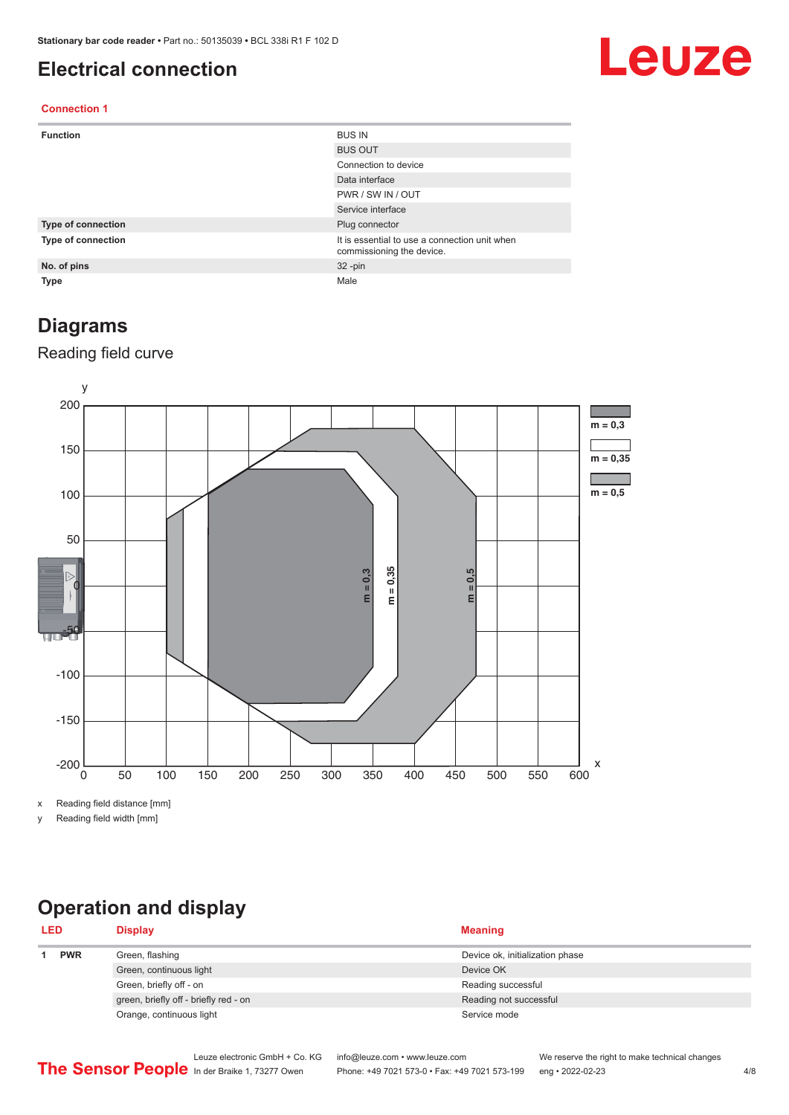#### <span id="page-3-0"></span>**Electrical connection**

## Leuze

#### **Connection 1**

| <b>Function</b>    | <b>BUS IN</b>                                                              |
|--------------------|----------------------------------------------------------------------------|
|                    | <b>BUS OUT</b>                                                             |
|                    | Connection to device                                                       |
|                    | Data interface                                                             |
|                    | PWR / SW IN / OUT                                                          |
|                    | Service interface                                                          |
| Type of connection | Plug connector                                                             |
| Type of connection | It is essential to use a connection unit when<br>commissioning the device. |
| No. of pins        | $32 - pin$                                                                 |
| Type               | Male                                                                       |

#### **Diagrams**

#### Reading field curve



x Reading field distance [mm]

y Reading field width [mm]

### **Operation and display**

| <b>LED</b> |  | <b>Display</b>                        | <b>Meaning</b>                  |
|------------|--|---------------------------------------|---------------------------------|
| <b>PWR</b> |  | Green, flashing                       | Device ok, initialization phase |
|            |  | Green, continuous light               | Device OK                       |
|            |  | Green, briefly off - on               | Reading successful              |
|            |  | green, briefly off - briefly red - on | Reading not successful          |
|            |  | Orange, continuous light              | Service mode                    |
|            |  |                                       |                                 |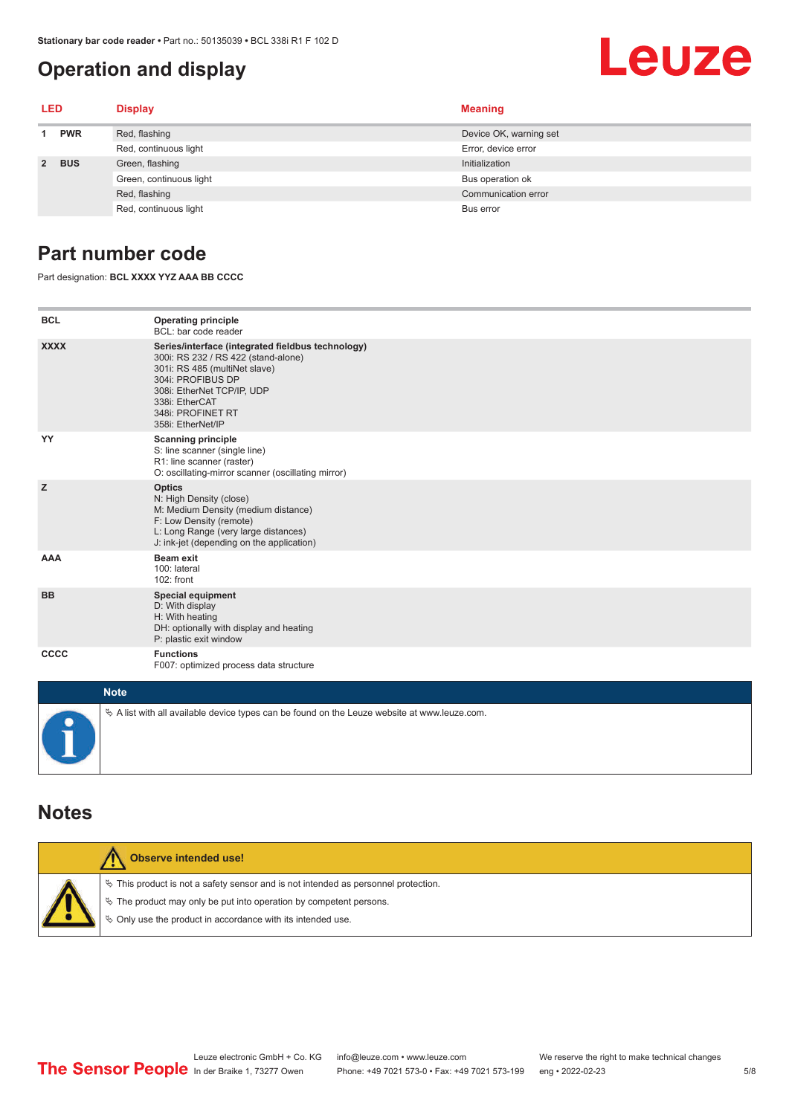#### <span id="page-4-0"></span>**Operation and display**

# Leuze

| LED         |            | <b>Display</b>          | <b>Meaning</b>         |
|-------------|------------|-------------------------|------------------------|
| <b>PWR</b>  |            | Red, flashing           | Device OK, warning set |
|             |            | Red, continuous light   | Error, device error    |
| $2^{\circ}$ | <b>BUS</b> | Green, flashing         | Initialization         |
|             |            | Green, continuous light | Bus operation ok       |
|             |            | Red, flashing           | Communication error    |
|             |            | Red, continuous light   | Bus error              |

#### **Part number code**

Part designation: **BCL XXXX YYZ AAA BB CCCC**

| <b>BCL</b>  | <b>Operating principle</b><br>BCL: bar code reader                                                                                                                                                                                       |
|-------------|------------------------------------------------------------------------------------------------------------------------------------------------------------------------------------------------------------------------------------------|
| <b>XXXX</b> | Series/interface (integrated fieldbus technology)<br>300i: RS 232 / RS 422 (stand-alone)<br>301i: RS 485 (multiNet slave)<br>304i: PROFIBUS DP<br>308i: EtherNet TCP/IP, UDP<br>338i: EtherCAT<br>348i: PROFINET RT<br>358i: EtherNet/IP |
| YY          | <b>Scanning principle</b><br>S: line scanner (single line)<br>R1: line scanner (raster)<br>O: oscillating-mirror scanner (oscillating mirror)                                                                                            |
| z           | <b>Optics</b><br>N: High Density (close)<br>M: Medium Density (medium distance)<br>F: Low Density (remote)<br>L: Long Range (very large distances)<br>J: ink-jet (depending on the application)                                          |
| <b>AAA</b>  | Beam exit<br>100: lateral<br>102: front                                                                                                                                                                                                  |
| <b>BB</b>   | <b>Special equipment</b><br>D: With display<br>H: With heating<br>DH: optionally with display and heating<br>P: plastic exit window                                                                                                      |
| CCCC        | <b>Functions</b><br>F007: optimized process data structure                                                                                                                                                                               |
| <b>Made</b> |                                                                                                                                                                                                                                          |

| <b>Note</b>                                                                                       |
|---------------------------------------------------------------------------------------------------|
| $\phi$ A list with all available device types can be found on the Leuze website at www.leuze.com. |

#### **Notes**

| Observe intended use!                                                                                                                                                                                                      |
|----------------------------------------------------------------------------------------------------------------------------------------------------------------------------------------------------------------------------|
| $\%$ This product is not a safety sensor and is not intended as personnel protection.<br>↓ The product may only be put into operation by competent persons.<br>♦ Only use the product in accordance with its intended use. |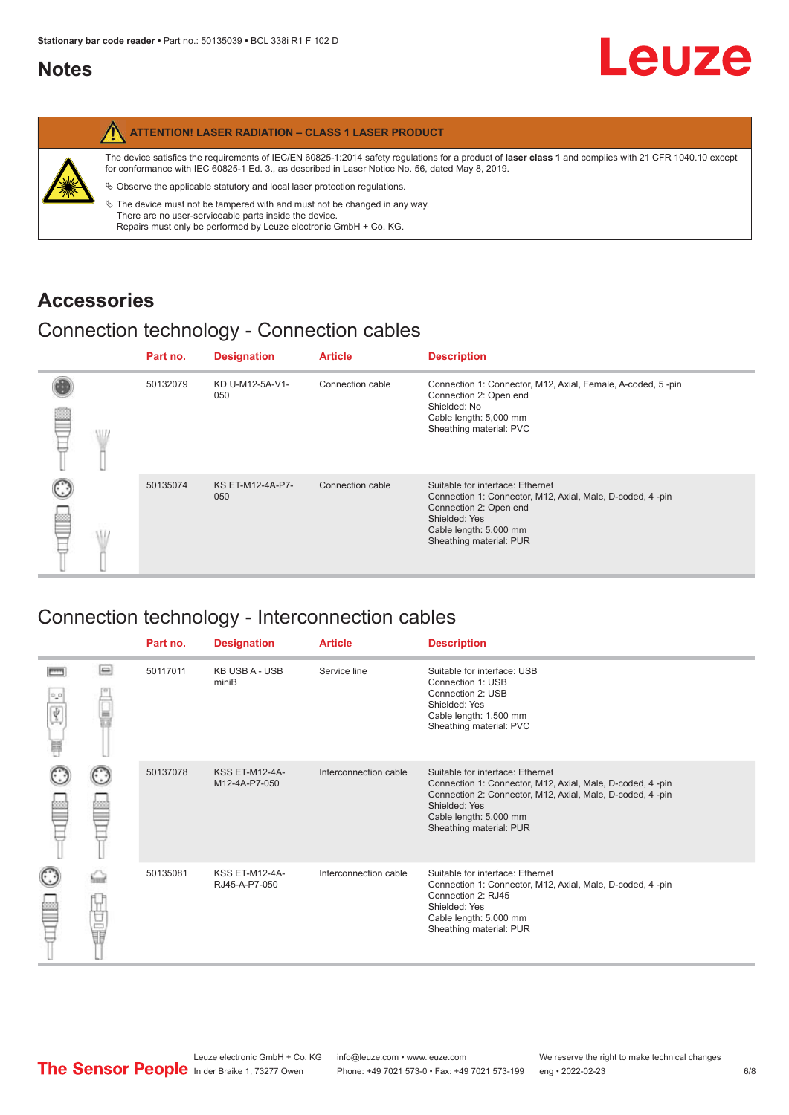#### <span id="page-5-0"></span>**Notes**

|   | <b>ATTENTION! LASER RADIATION - CLASS 1 LASER PRODUCT</b>                                                                                                                                                                                                  |
|---|------------------------------------------------------------------------------------------------------------------------------------------------------------------------------------------------------------------------------------------------------------|
| 纂 | The device satisfies the requirements of IEC/EN 60825-1:2014 safety requlations for a product of laser class 1 and complies with 21 CFR 1040.10 except<br>for conformance with IEC 60825-1 Ed. 3., as described in Laser Notice No. 56, dated May 8, 2019. |
|   | $\&$ Observe the applicable statutory and local laser protection regulations.                                                                                                                                                                              |
|   | $\%$ The device must not be tampered with and must not be changed in any way.<br>There are no user-serviceable parts inside the device.<br>Repairs must only be performed by Leuze electronic GmbH + Co. KG.                                               |

#### **Accessories**

### Connection technology - Connection cables

|      | Part no. | <b>Designation</b>      | <b>Article</b>   | <b>Description</b>                                                                                                                                                                            |
|------|----------|-------------------------|------------------|-----------------------------------------------------------------------------------------------------------------------------------------------------------------------------------------------|
| \ll. | 50132079 | KD U-M12-5A-V1-<br>050  | Connection cable | Connection 1: Connector, M12, Axial, Female, A-coded, 5-pin<br>Connection 2: Open end<br>Shielded: No<br>Cable length: 5,000 mm<br>Sheathing material: PVC                                    |
|      | 50135074 | KS ET-M12-4A-P7-<br>050 | Connection cable | Suitable for interface: Ethernet<br>Connection 1: Connector, M12, Axial, Male, D-coded, 4-pin<br>Connection 2: Open end<br>Shielded: Yes<br>Cable length: 5,000 mm<br>Sheathing material: PUR |

### Connection technology - Interconnection cables

|        |    | Part no. | <b>Designation</b>                     | <b>Article</b>        | <b>Description</b>                                                                                                                                                                                                               |
|--------|----|----------|----------------------------------------|-----------------------|----------------------------------------------------------------------------------------------------------------------------------------------------------------------------------------------------------------------------------|
| Ý<br>Ħ | ▣  | 50117011 | <b>KB USB A - USB</b><br>miniB         | Service line          | Suitable for interface: USB<br>Connection 1: USB<br>Connection 2: USB<br>Shielded: Yes<br>Cable length: 1,500 mm<br>Sheathing material: PVC                                                                                      |
|        |    | 50137078 | <b>KSS ET-M12-4A-</b><br>M12-4A-P7-050 | Interconnection cable | Suitable for interface: Ethernet<br>Connection 1: Connector, M12, Axial, Male, D-coded, 4-pin<br>Connection 2: Connector, M12, Axial, Male, D-coded, 4-pin<br>Shielded: Yes<br>Cable length: 5,000 mm<br>Sheathing material: PUR |
|        | 世軍 | 50135081 | <b>KSS ET-M12-4A-</b><br>RJ45-A-P7-050 | Interconnection cable | Suitable for interface: Ethernet<br>Connection 1: Connector, M12, Axial, Male, D-coded, 4-pin<br>Connection 2: RJ45<br>Shielded: Yes<br>Cable length: 5,000 mm<br>Sheathing material: PUR                                        |

Leuze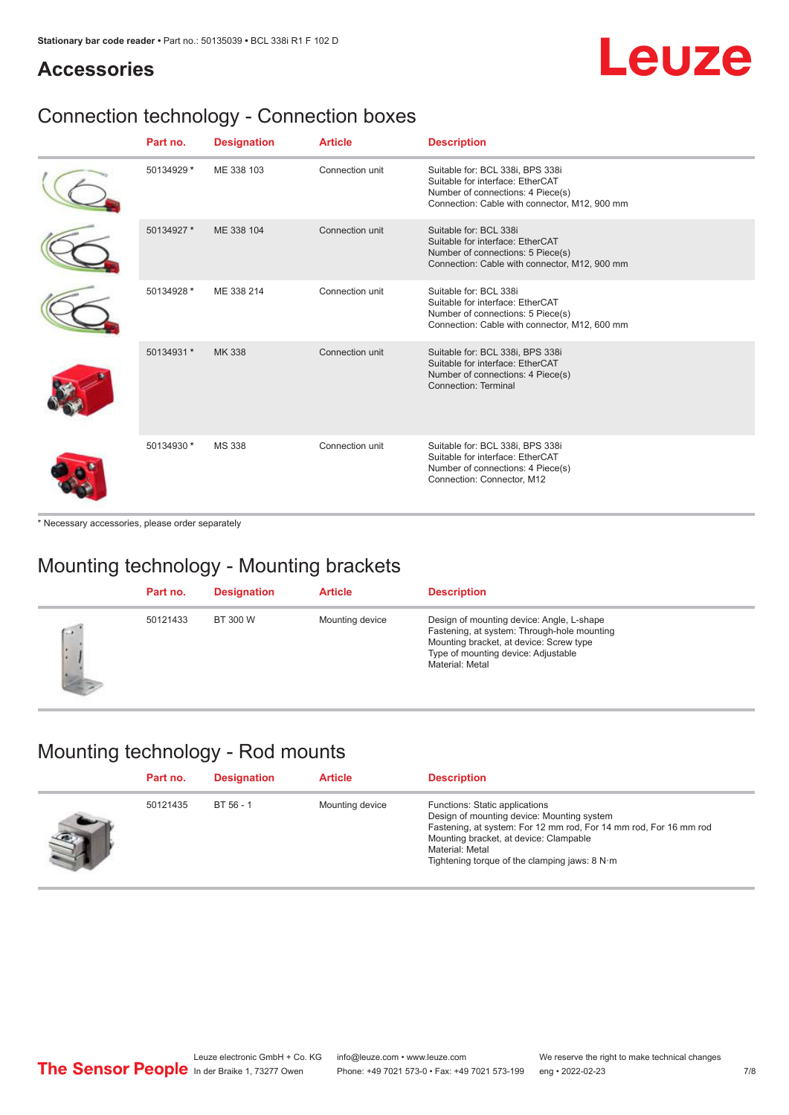## Leuze

#### **Accessories**

### Connection technology - Connection boxes

| Part no.   | <b>Designation</b> | <b>Article</b>  | <b>Description</b>                                                                                                                                         |
|------------|--------------------|-----------------|------------------------------------------------------------------------------------------------------------------------------------------------------------|
| 50134929 * | ME 338 103         | Connection unit | Suitable for: BCL 338i, BPS 338i<br>Suitable for interface: EtherCAT<br>Number of connections: 4 Piece(s)<br>Connection: Cable with connector, M12, 900 mm |
| 50134927 * | ME 338 104         | Connection unit | Suitable for: BCL 338i<br>Suitable for interface: EtherCAT<br>Number of connections: 5 Piece(s)<br>Connection: Cable with connector, M12, 900 mm           |
| 50134928 * | ME 338 214         | Connection unit | Suitable for: BCL 338i<br>Suitable for interface: EtherCAT<br>Number of connections: 5 Piece(s)<br>Connection: Cable with connector, M12, 600 mm           |
| 50134931 * | MK 338             | Connection unit | Suitable for: BCL 338i, BPS 338i<br>Suitable for interface: EtherCAT<br>Number of connections: 4 Piece(s)<br>Connection: Terminal                          |
| 50134930 * | <b>MS 338</b>      | Connection unit | Suitable for: BCL 338i, BPS 338i<br>Suitable for interface: EtherCAT<br>Number of connections: 4 Piece(s)<br>Connection: Connector, M12                    |

\* Necessary accessories, please order separately

### Mounting technology - Mounting brackets

|              | Part no. | <b>Designation</b> | <b>Article</b>  | <b>Description</b>                                                                                                                                                                            |
|--------------|----------|--------------------|-----------------|-----------------------------------------------------------------------------------------------------------------------------------------------------------------------------------------------|
| $\sim$<br>ı. | 50121433 | BT 300 W           | Mounting device | Design of mounting device: Angle, L-shape<br>Fastening, at system: Through-hole mounting<br>Mounting bracket, at device: Screw type<br>Type of mounting device: Adjustable<br>Material: Metal |

#### Mounting technology - Rod mounts

| Part no. | <b>Designation</b> | <b>Article</b>  | <b>Description</b>                                                                                                                                                                                                                                                |
|----------|--------------------|-----------------|-------------------------------------------------------------------------------------------------------------------------------------------------------------------------------------------------------------------------------------------------------------------|
| 50121435 | BT 56 - 1          | Mounting device | Functions: Static applications<br>Design of mounting device: Mounting system<br>Fastening, at system: For 12 mm rod, For 14 mm rod, For 16 mm rod<br>Mounting bracket, at device: Clampable<br>Material: Metal<br>Tightening torque of the clamping jaws: $8 N·m$ |